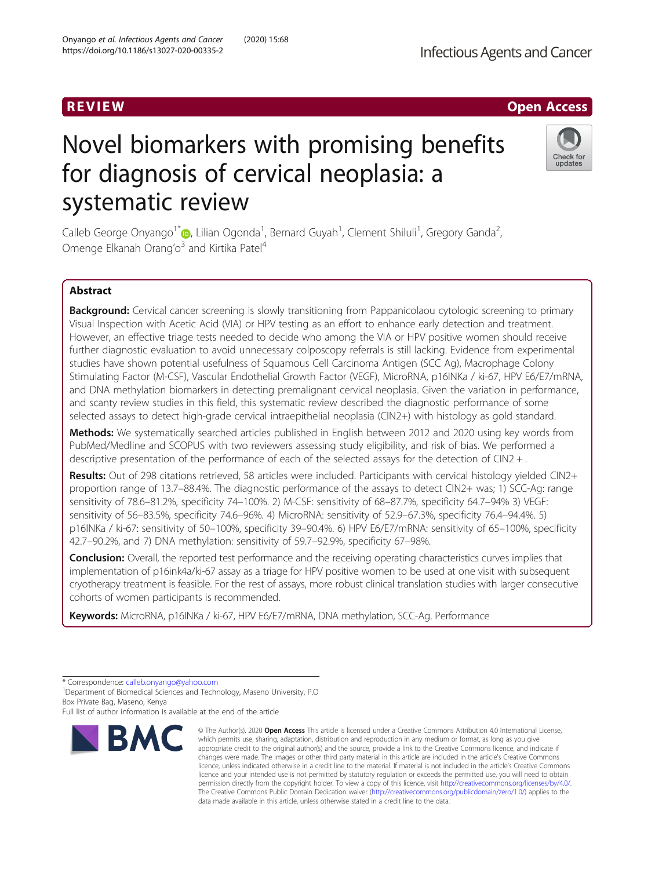# Novel biomarkers with promising benefits for diagnosis of cervical neoplasia: a systematic review

Calleb George Onyango<sup>1\*</sup> (@, Lilian Ogonda<sup>1</sup>, Bernard Guyah<sup>1</sup>, Clement Shiluli<sup>1</sup>, Gregory Ganda<sup>2</sup> , Omenge Elkanah Orang'o<sup>3</sup> and Kirtika Patel<sup>4</sup>

# Abstract

Background: Cervical cancer screening is slowly transitioning from Pappanicolaou cytologic screening to primary Visual Inspection with Acetic Acid (VIA) or HPV testing as an effort to enhance early detection and treatment. However, an effective triage tests needed to decide who among the VIA or HPV positive women should receive further diagnostic evaluation to avoid unnecessary colposcopy referrals is still lacking. Evidence from experimental studies have shown potential usefulness of Squamous Cell Carcinoma Antigen (SCC Ag), Macrophage Colony Stimulating Factor (M-CSF), Vascular Endothelial Growth Factor (VEGF), MicroRNA, p16INKa / ki-67, HPV E6/E7/mRNA, and DNA methylation biomarkers in detecting premalignant cervical neoplasia. Given the variation in performance, and scanty review studies in this field, this systematic review described the diagnostic performance of some selected assays to detect high-grade cervical intraepithelial neoplasia (CIN2+) with histology as gold standard.

Methods: We systematically searched articles published in English between 2012 and 2020 using key words from PubMed/Medline and SCOPUS with two reviewers assessing study eligibility, and risk of bias. We performed a descriptive presentation of the performance of each of the selected assays for the detection of CIN2 + .

Results: Out of 298 citations retrieved, 58 articles were included. Participants with cervical histology yielded CIN2+ proportion range of 13.7–88.4%. The diagnostic performance of the assays to detect CIN2+ was; 1) SCC-Ag: range sensitivity of 78.6–81.2%, specificity 74–100%. 2) M-CSF: sensitivity of 68–87.7%, specificity 64.7–94% 3) VEGF: sensitivity of 56–83.5%, specificity 74.6–96%. 4) MicroRNA: sensitivity of 52.9–67.3%, specificity 76.4–94.4%. 5) p16INKa / ki-67: sensitivity of 50–100%, specificity 39–90.4%. 6) HPV E6/E7/mRNA: sensitivity of 65–100%, specificity 42.7–90.2%, and 7) DNA methylation: sensitivity of 59.7–92.9%, specificity 67–98%.

**Conclusion:** Overall, the reported test performance and the receiving operating characteristics curves implies that implementation of p16ink4a/ki-67 assay as a triage for HPV positive women to be used at one visit with subsequent cryotherapy treatment is feasible. For the rest of assays, more robust clinical translation studies with larger consecutive cohorts of women participants is recommended.

data made available in this article, unless otherwise stated in a credit line to the data.

© The Author(s), 2020 **Open Access** This article is licensed under a Creative Commons Attribution 4.0 International License, which permits use, sharing, adaptation, distribution and reproduction in any medium or format, as long as you give appropriate credit to the original author(s) and the source, provide a link to the Creative Commons licence, and indicate if changes were made. The images or other third party material in this article are included in the article's Creative Commons licence, unless indicated otherwise in a credit line to the material. If material is not included in the article's Creative Commons licence and your intended use is not permitted by statutory regulation or exceeds the permitted use, you will need to obtain permission directly from the copyright holder. To view a copy of this licence, visit [http://creativecommons.org/licenses/by/4.0/.](http://creativecommons.org/licenses/by/4.0/) The Creative Commons Public Domain Dedication waiver [\(http://creativecommons.org/publicdomain/zero/1.0/](http://creativecommons.org/publicdomain/zero/1.0/)) applies to the

Keywords: MicroRNA, p16INKa / ki-67, HPV E6/E7/mRNA, DNA methylation, SCC-Ag. Performance





Check for updates



<sup>\*</sup> Correspondence: [calleb.onyango@yahoo.com](mailto:calleb.onyango@yahoo.com) <sup>1</sup>

<sup>&</sup>lt;sup>1</sup> Department of Biomedical Sciences and Technology, Maseno University, P.O. Box Private Bag, Maseno, Kenya

Full list of author information is available at the end of the article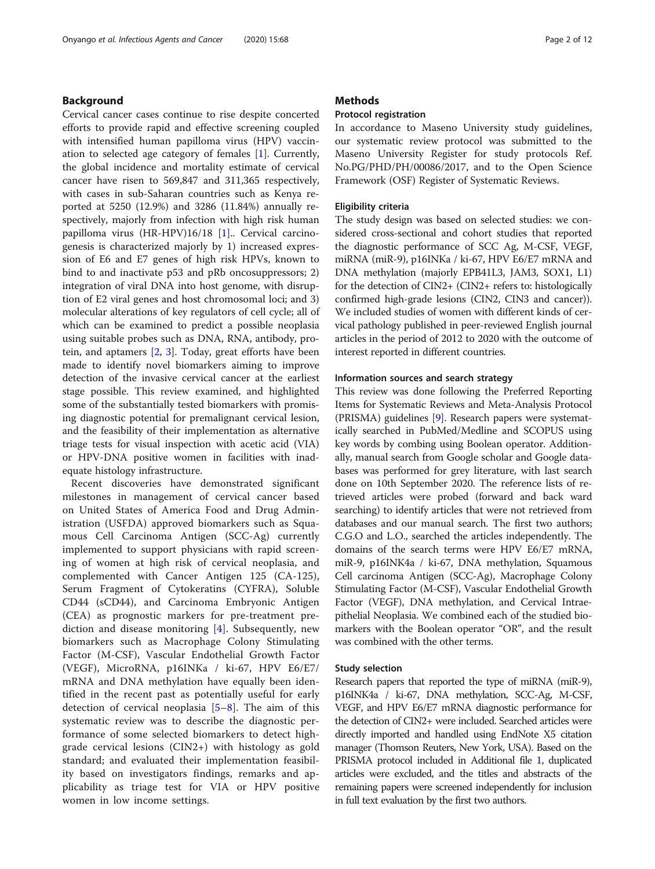# Background

Cervical cancer cases continue to rise despite concerted efforts to provide rapid and effective screening coupled with intensified human papilloma virus (HPV) vaccination to selected age category of females [[1\]](#page-9-0). Currently, the global incidence and mortality estimate of cervical cancer have risen to 569,847 and 311,365 respectively, with cases in sub-Saharan countries such as Kenya reported at 5250 (12.9%) and 3286 (11.84%) annually respectively, majorly from infection with high risk human papilloma virus (HR-HPV)16/18 [\[1](#page-9-0)].. Cervical carcinogenesis is characterized majorly by 1) increased expression of E6 and E7 genes of high risk HPVs, known to bind to and inactivate p53 and pRb oncosuppressors; 2) integration of viral DNA into host genome, with disruption of E2 viral genes and host chromosomal loci; and 3) molecular alterations of key regulators of cell cycle; all of which can be examined to predict a possible neoplasia using suitable probes such as DNA, RNA, antibody, protein, and aptamers [\[2](#page-9-0), [3\]](#page-9-0). Today, great efforts have been made to identify novel biomarkers aiming to improve detection of the invasive cervical cancer at the earliest stage possible. This review examined, and highlighted some of the substantially tested biomarkers with promising diagnostic potential for premalignant cervical lesion, and the feasibility of their implementation as alternative triage tests for visual inspection with acetic acid (VIA) or HPV-DNA positive women in facilities with inadequate histology infrastructure.

Recent discoveries have demonstrated significant milestones in management of cervical cancer based on United States of America Food and Drug Administration (USFDA) approved biomarkers such as Squamous Cell Carcinoma Antigen (SCC-Ag) currently implemented to support physicians with rapid screening of women at high risk of cervical neoplasia, and complemented with Cancer Antigen 125 (CA-125), Serum Fragment of Cytokeratins (CYFRA), Soluble CD44 (sCD44), and Carcinoma Embryonic Antigen (CEA) as prognostic markers for pre-treatment prediction and disease monitoring [\[4](#page-9-0)]. Subsequently, new biomarkers such as Macrophage Colony Stimulating Factor (M-CSF), Vascular Endothelial Growth Factor (VEGF), MicroRNA, p16INKa / ki-67, HPV E6/E7/ mRNA and DNA methylation have equally been identified in the recent past as potentially useful for early detection of cervical neoplasia  $[5-8]$  $[5-8]$  $[5-8]$  $[5-8]$ . The aim of this systematic review was to describe the diagnostic performance of some selected biomarkers to detect highgrade cervical lesions (CIN2+) with histology as gold standard; and evaluated their implementation feasibility based on investigators findings, remarks and applicability as triage test for VIA or HPV positive women in low income settings.

# **Methods**

# Protocol registration

In accordance to Maseno University study guidelines, our systematic review protocol was submitted to the Maseno University Register for study protocols Ref. No.PG/PHD/PH/00086/2017, and to the Open Science Framework (OSF) Register of Systematic Reviews.

### Eligibility criteria

The study design was based on selected studies: we considered cross-sectional and cohort studies that reported the diagnostic performance of SCC Ag, M-CSF, VEGF, miRNA (miR-9), p16INKa / ki-67, HPV E6/E7 mRNA and DNA methylation (majorly EPB41L3, JAM3, SOX1, L1) for the detection of CIN2+ (CIN2+ refers to: histologically confirmed high-grade lesions (CIN2, CIN3 and cancer)). We included studies of women with different kinds of cervical pathology published in peer-reviewed English journal articles in the period of 2012 to 2020 with the outcome of interest reported in different countries.

# Information sources and search strategy

This review was done following the Preferred Reporting Items for Systematic Reviews and Meta-Analysis Protocol (PRISMA) guidelines [\[9\]](#page-9-0). Research papers were systematically searched in PubMed/Medline and SCOPUS using key words by combing using Boolean operator. Additionally, manual search from Google scholar and Google databases was performed for grey literature, with last search done on 10th September 2020. The reference lists of retrieved articles were probed (forward and back ward searching) to identify articles that were not retrieved from databases and our manual search. The first two authors; C.G.O and L.O., searched the articles independently. The domains of the search terms were HPV E6/E7 mRNA, miR-9, p16INK4a / ki-67, DNA methylation, Squamous Cell carcinoma Antigen (SCC-Ag), Macrophage Colony Stimulating Factor (M-CSF), Vascular Endothelial Growth Factor (VEGF), DNA methylation, and Cervical Intraepithelial Neoplasia. We combined each of the studied biomarkers with the Boolean operator "OR", and the result was combined with the other terms.

#### Study selection

Research papers that reported the type of miRNA (miR-9), p16INK4a / ki-67, DNA methylation, SCC-Ag, M-CSF, VEGF, and HPV E6/E7 mRNA diagnostic performance for the detection of CIN2+ were included. Searched articles were directly imported and handled using EndNote X5 citation manager (Thomson Reuters, New York, USA). Based on the PRISMA protocol included in Additional file [1,](#page-8-0) duplicated articles were excluded, and the titles and abstracts of the remaining papers were screened independently for inclusion in full text evaluation by the first two authors.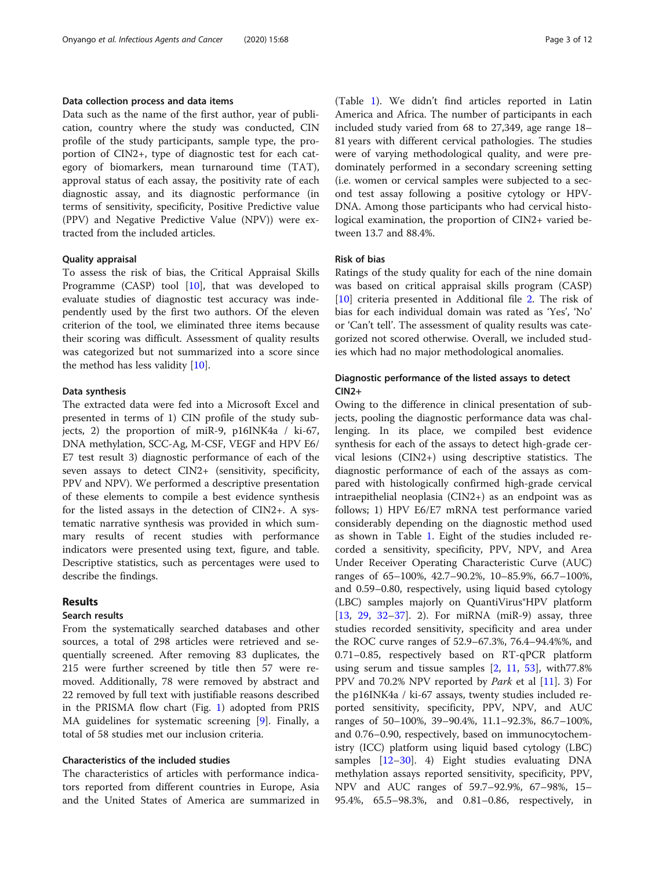# Data collection process and data items

Data such as the name of the first author, year of publication, country where the study was conducted, CIN profile of the study participants, sample type, the proportion of CIN2+, type of diagnostic test for each category of biomarkers, mean turnaround time (TAT), approval status of each assay, the positivity rate of each diagnostic assay, and its diagnostic performance (in terms of sensitivity, specificity, Positive Predictive value (PPV) and Negative Predictive Value (NPV)) were extracted from the included articles.

# Quality appraisal

To assess the risk of bias, the Critical Appraisal Skills Programme (CASP) tool  $[10]$  $[10]$  $[10]$ , that was developed to evaluate studies of diagnostic test accuracy was independently used by the first two authors. Of the eleven criterion of the tool, we eliminated three items because their scoring was difficult. Assessment of quality results was categorized but not summarized into a score since the method has less validity [\[10](#page-9-0)].

# Data synthesis

The extracted data were fed into a Microsoft Excel and presented in terms of 1) CIN profile of the study subjects, 2) the proportion of miR-9, p16INK4a / ki-67, DNA methylation, SCC-Ag, M-CSF, VEGF and HPV E6/ E7 test result 3) diagnostic performance of each of the seven assays to detect CIN2+ (sensitivity, specificity, PPV and NPV). We performed a descriptive presentation of these elements to compile a best evidence synthesis for the listed assays in the detection of CIN2+. A systematic narrative synthesis was provided in which summary results of recent studies with performance indicators were presented using text, figure, and table. Descriptive statistics, such as percentages were used to describe the findings.

# Results

#### Search results

From the systematically searched databases and other sources, a total of 298 articles were retrieved and sequentially screened. After removing 83 duplicates, the 215 were further screened by title then 57 were removed. Additionally, 78 were removed by abstract and 22 removed by full text with justifiable reasons described in the PRISMA flow chart (Fig. [1](#page-3-0)) adopted from PRIS MA guidelines for systematic screening [\[9](#page-9-0)]. Finally, a total of 58 studies met our inclusion criteria.

# Characteristics of the included studies

The characteristics of articles with performance indicators reported from different countries in Europe, Asia and the United States of America are summarized in

(Table [1](#page-4-0)). We didn't find articles reported in Latin America and Africa. The number of participants in each included study varied from 68 to 27,349, age range 18– 81 years with different cervical pathologies. The studies were of varying methodological quality, and were predominately performed in a secondary screening setting (i.e. women or cervical samples were subjected to a second test assay following a positive cytology or HPV-DNA. Among those participants who had cervical histological examination, the proportion of CIN2+ varied between 13.7 and 88.4%.

# Risk of bias

Ratings of the study quality for each of the nine domain was based on critical appraisal skills program (CASP) [[10\]](#page-9-0) criteria presented in Additional file [2](#page-8-0). The risk of bias for each individual domain was rated as 'Yes', 'No' or 'Can't tell'. The assessment of quality results was categorized not scored otherwise. Overall, we included studies which had no major methodological anomalies.

# Diagnostic performance of the listed assays to detect CIN2+

Owing to the difference in clinical presentation of subjects, pooling the diagnostic performance data was challenging. In its place, we compiled best evidence synthesis for each of the assays to detect high-grade cervical lesions (CIN2+) using descriptive statistics. The diagnostic performance of each of the assays as compared with histologically confirmed high-grade cervical intraepithelial neoplasia (CIN2+) as an endpoint was as follows; 1) HPV E6/E7 mRNA test performance varied considerably depending on the diagnostic method used as shown in Table [1.](#page-4-0) Eight of the studies included recorded a sensitivity, specificity, PPV, NPV, and Area Under Receiver Operating Characteristic Curve (AUC) ranges of 65–100%, 42.7–90.2%, 10–85.9%, 66.7–100%, and 0.59–0.80, respectively, using liquid based cytology (LBC) samples majorly on QuantiVirus®HPV platform [[13,](#page-9-0) [29](#page-10-0), [32](#page-10-0)–[37\]](#page-10-0). 2). For miRNA (miR-9) assay, three studies recorded sensitivity, specificity and area under the ROC curve ranges of 52.9–67.3%, 76.4–94.4%%, and 0.71–0.85, respectively based on RT-qPCR platform using serum and tissue samples  $[2, 11, 53]$  $[2, 11, 53]$  $[2, 11, 53]$  $[2, 11, 53]$  $[2, 11, 53]$  $[2, 11, 53]$ , with 77.8% PPV and 70.2% NPV reported by Park et al [\[11](#page-9-0)]. 3) For the p16INK4a / ki-67 assays, twenty studies included reported sensitivity, specificity, PPV, NPV, and AUC ranges of 50–100%, 39–90.4%, 11.1–92.3%, 86.7–100%, and 0.76–0.90, respectively, based on immunocytochemistry (ICC) platform using liquid based cytology (LBC) samples [\[12](#page-9-0)–[30\]](#page-10-0). 4) Eight studies evaluating DNA methylation assays reported sensitivity, specificity, PPV, NPV and AUC ranges of 59.7–92.9%, 67–98%, 15– 95.4%, 65.5–98.3%, and 0.81–0.86, respectively, in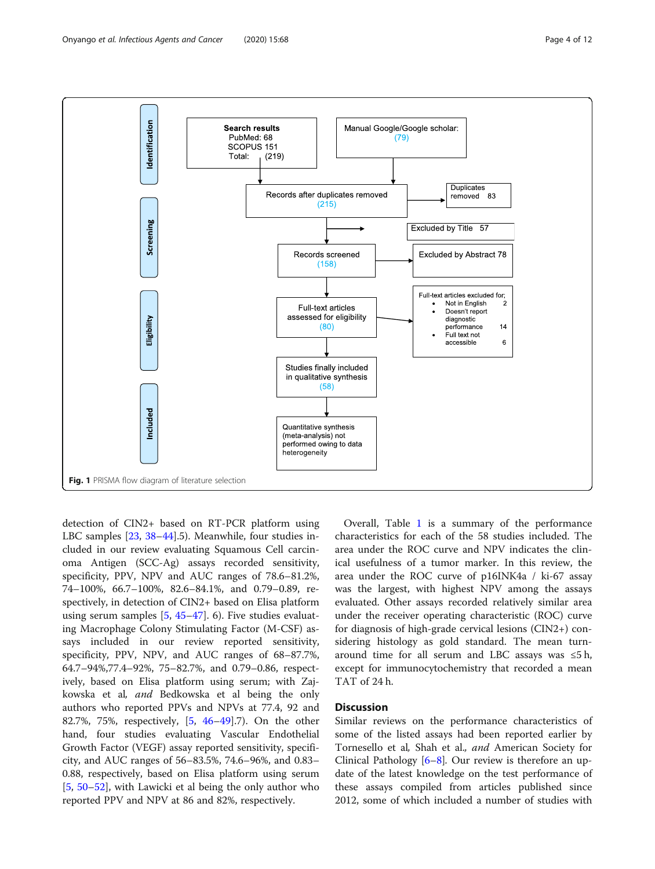<span id="page-3-0"></span>

detection of CIN2+ based on RT-PCR platform using LBC samples [[23,](#page-9-0) [38](#page-10-0)–[44\]](#page-10-0).5). Meanwhile, four studies included in our review evaluating Squamous Cell carcinoma Antigen (SCC-Ag) assays recorded sensitivity, specificity, PPV, NPV and AUC ranges of 78.6–81.2%, 74–100%, 66.7–100%, 82.6–84.1%, and 0.79–0.89, respectively, in detection of CIN2+ based on Elisa platform using serum samples [\[5,](#page-9-0) [45](#page-10-0)–[47\]](#page-10-0). 6). Five studies evaluating Macrophage Colony Stimulating Factor (M-CSF) assays included in our review reported sensitivity, specificity, PPV, NPV, and AUC ranges of 68–87.7%, 64.7–94%,77.4–92%, 75–82.7%, and 0.79–0.86, respectively, based on Elisa platform using serum; with Zajkowska et al, and Bedkowska et al being the only authors who reported PPVs and NPVs at 77.4, 92 and 82.7%, 75%, respectively, [[5](#page-9-0), [46](#page-10-0)–[49\]](#page-10-0).7). On the other hand, four studies evaluating Vascular Endothelial Growth Factor (VEGF) assay reported sensitivity, specificity, and AUC ranges of 56–83.5%, 74.6–96%, and 0.83– 0.88, respectively, based on Elisa platform using serum [[5,](#page-9-0) [50](#page-10-0)–[52\]](#page-10-0), with Lawicki et al being the only author who reported PPV and NPV at 86 and 82%, respectively.

Overall, Table [1](#page-4-0) is a summary of the performance characteristics for each of the 58 studies included. The area under the ROC curve and NPV indicates the clinical usefulness of a tumor marker. In this review, the area under the ROC curve of p16INK4a / ki-67 assay was the largest, with highest NPV among the assays evaluated. Other assays recorded relatively similar area under the receiver operating characteristic (ROC) curve for diagnosis of high-grade cervical lesions (CIN2+) considering histology as gold standard. The mean turnaround time for all serum and LBC assays was  $\leq 5$ h, except for immunocytochemistry that recorded a mean TAT of 24 h.

# **Discussion**

Similar reviews on the performance characteristics of some of the listed assays had been reported earlier by Tornesello et al, Shah et al., and American Society for Clinical Pathology  $[6-8]$  $[6-8]$  $[6-8]$  $[6-8]$ . Our review is therefore an update of the latest knowledge on the test performance of these assays compiled from articles published since 2012, some of which included a number of studies with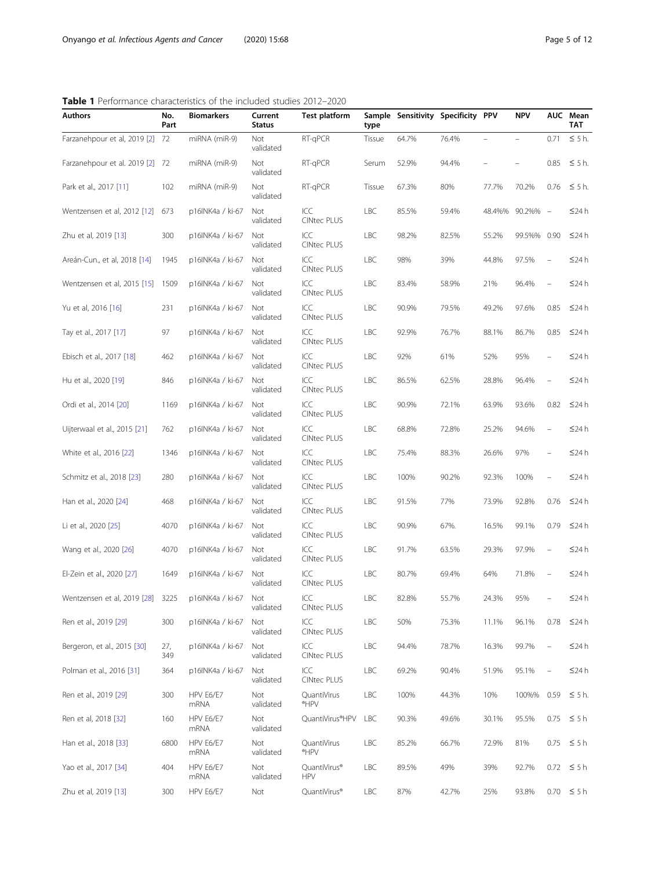# <span id="page-4-0"></span>Table 1 Performance characteristics of the included studies 2012-2020

| <b>I</b> I CHOHIMICE CHARACTERIES OF THE INCRUCUL STUDIES ZOTZ ZUZU |             |                   |                          |                            |            |                                    |       |                          |            |                                   |                        |  |
|---------------------------------------------------------------------|-------------|-------------------|--------------------------|----------------------------|------------|------------------------------------|-------|--------------------------|------------|-----------------------------------|------------------------|--|
| Authors                                                             | No.<br>Part | <b>Biomarkers</b> | Current<br><b>Status</b> | <b>Test platform</b>       | type       | Sample Sensitivity Specificity PPV |       |                          | <b>NPV</b> |                                   | AUC Mean<br><b>TAT</b> |  |
| Farzanehpour et al, 2019 [2] 72                                     |             | miRNA (miR-9)     | Not<br>validated         | RT-qPCR                    | Tissue     | 64.7%                              | 76.4% | $\overline{\phantom{0}}$ |            | 0.71                              | $\leq$ 5 h.            |  |
| Farzanehpour et al. 2019 [2] 72                                     |             | miRNA (miR-9)     | Not<br>validated         | RT-qPCR                    | Serum      | 52.9%                              | 94.4% |                          |            | 0.85                              | $\leq$ 5 h.            |  |
| Park et al., 2017 [11]                                              | 102         | miRNA (miR-9)     | Not<br>validated         | RT-qPCR                    | Tissue     | 67.3%                              | 80%   | 77.7%                    | 70.2%      | 0.76                              | $\leq$ 5 h.            |  |
| Wentzensen et al, 2012 [12]                                         | 673         | p16INK4a / ki-67  | Not<br>validated         | ICC<br><b>CINtec PLUS</b>  | LBC        | 85.5%                              | 59.4% | 48.4%%                   | 90.2%% -   |                                   | $\leq$ 24 h            |  |
| Zhu et al, 2019 [13]                                                | 300         | p16INK4a / ki-67  | Not<br>validated         | ICC<br><b>CINtec PLUS</b>  | LBC        | 98.2%                              | 82.5% | 55.2%                    | 99.5%%     | 0.90                              | $\leq$ 24 h            |  |
| Areán-Cun., et al, 2018 [14]                                        | 1945        | p16INK4a / ki-67  | Not<br>validated         | ICC<br><b>CINtec PLUS</b>  | LBC        | 98%                                | 39%   | 44.8%                    | 97.5%      | $\hspace{1.0cm} - \hspace{1.0cm}$ | ≤24 h                  |  |
| Wentzensen et al, 2015 [15] 1509                                    |             | p16INK4a / ki-67  | Not<br>validated         | ICC<br><b>CINtec PLUS</b>  | LBC        | 83.4%                              | 58.9% | 21%                      | 96.4%      | $\qquad \qquad -$                 | $\leq$ 24 h            |  |
| Yu et al, 2016 [16]                                                 | 231         | p16INK4a / ki-67  | Not<br>validated         | ICC<br><b>CINtec PLUS</b>  | LBC        | 90.9%                              | 79.5% | 49.2%                    | 97.6%      | 0.85                              | $\leq$ 24 h            |  |
| Tay et al., 2017 [17]                                               | 97          | p16INK4a / ki-67  | Not<br>validated         | ICC<br><b>CINtec PLUS</b>  | LBC        | 92.9%                              | 76.7% | 88.1%                    | 86.7%      | 0.85                              | $\leq$ 24 h            |  |
| Ebisch et al., 2017 [18]                                            | 462         | p16INK4a / ki-67  | Not<br>validated         | ICC<br><b>CINtec PLUS</b>  | LBC        | 92%                                | 61%   | 52%                      | 95%        |                                   | $\leq$ 24 h            |  |
| Hu et al., 2020 [19]                                                | 846         | p16INK4a / ki-67  | Not<br>validated         | ICC<br><b>CINtec PLUS</b>  | LBC        | 86.5%                              | 62.5% | 28.8%                    | 96.4%      |                                   | ≤24 h                  |  |
| Ordi et al., 2014 [20]                                              | 1169        | p16INK4a / ki-67  | Not<br>validated         | ICC<br><b>CINtec PLUS</b>  | LBC        | 90.9%                              | 72.1% | 63.9%                    | 93.6%      | 0.82                              | $\leq$ 24 h            |  |
| Uijterwaal et al., 2015 [21]                                        | 762         | p16INK4a / ki-67  | Not<br>validated         | ICC<br><b>CINtec PLUS</b>  | LBC        | 68.8%                              | 72.8% | 25.2%                    | 94.6%      |                                   | $\leq$ 24 h            |  |
| White et al., 2016 [22]                                             | 1346        | p16INK4a / ki-67  | Not<br>validated         | ICC<br><b>CINtec PLUS</b>  | LBC        | 75.4%                              | 88.3% | 26.6%                    | 97%        |                                   | ≤24 h                  |  |
| Schmitz et al., 2018 [23]                                           | 280         | p16INK4a / ki-67  | Not<br>validated         | ICC<br><b>CINtec PLUS</b>  | LBC        | 100%                               | 90.2% | 92.3%                    | 100%       | $\hspace{1.0cm} - \hspace{1.0cm}$ | ≤24 h                  |  |
| Han et al., 2020 [24]                                               | 468         | p16INK4a / ki-67  | Not<br>validated         | ICC<br><b>CINtec PLUS</b>  | LBC        | 91.5%                              | 77%   | 73.9%                    | 92.8%      | 0.76                              | $\leq$ 24 h            |  |
| Li et al., 2020 [25]                                                | 4070        | p16INK4a / ki-67  | Not<br>validated         | ICC<br><b>CINtec PLUS</b>  | LBC        | 90.9%                              | 67%.  | 16.5%                    | 99.1%      | 0.79                              | $\leq$ 24 h            |  |
| Wang et al., 2020 [26]                                              | 4070        | p16INK4a / ki-67  | Not<br>validated         | ICC<br><b>CINtec PLUS</b>  | LBC        | 91.7%                              | 63.5% | 29.3%                    | 97.9%      | $\hspace{1.0cm} - \hspace{1.0cm}$ | ≤24 h                  |  |
| El-Zein et al., 2020 [27]                                           | 1649        | p16INK4a / ki-67  | Not<br>validated         | ICC<br><b>CINtec PLUS</b>  | LBC        | 80.7%                              | 69.4% | 64%                      | 71.8%      |                                   | $\leq$ 24 h            |  |
| Wentzensen et al, 2019 [28] 3225                                    |             | p16INK4a / ki-67  | Not<br>validated         | ICC<br><b>CINtec PLUS</b>  | LBC        | 82.8%                              | 55.7% | 24.3%                    | 95%        |                                   | $\leq$ 24 h            |  |
| Ren et al., 2019 [29]                                               | 300         | p16INK4a / ki-67  | Not<br>validated         | ICC<br><b>CINtec PLUS</b>  | LBC        | 50%                                | 75.3% | 11.1%                    | 96.1%      | 0.78                              | $\leq$ 24 h            |  |
| Bergeron, et al., 2015 [30]                                         | 27,<br>349  | p16INK4a / ki-67  | Not<br>validated         | ICC<br><b>CINtec PLUS</b>  | LBC        | 94.4%                              | 78.7% | 16.3%                    | 99.7%      | $\overline{\phantom{a}}$          | $\leq$ 24 h            |  |
| Polman et al., 2016 [31]                                            | 364         | p16INK4a / ki-67  | Not<br>validated         | ICC<br><b>CINtec PLUS</b>  | LBC        | 69.2%                              | 90.4% | 51.9%                    | 95.1%      | $\overline{\phantom{0}}$          | $\leq$ 24 h            |  |
| Ren et al., 2019 [29]                                               | 300         | HPV E6/E7<br>mRNA | Not<br>validated         | QuantiVirus<br>*HPV        | LBC        | 100%                               | 44.3% | 10%                      | 100%%      | 0.59                              | $\leq$ 5 h.            |  |
| Ren et al, 2018 [32]                                                | 160         | HPV E6/E7<br>mRNA | Not<br>validated         | QuantiVirus®HPV            | <b>LBC</b> | 90.3%                              | 49.6% | 30.1%                    | 95.5%      |                                   | $0.75 \leq 5h$         |  |
| Han et al., 2018 [33]                                               | 6800        | HPV E6/E7<br>mRNA | Not<br>validated         | QuantiVirus<br>*HPV        | LBC        | 85.2%                              | 66.7% | 72.9%                    | 81%        | 0.75                              | $\leq 5h$              |  |
| Yao et al., 2017 [34]                                               | 404         | HPV E6/E7<br>mRNA | Not<br>validated         | QuantiVirus®<br><b>HPV</b> | LBC        | 89.5%                              | 49%   | 39%                      | 92.7%      | 0.72                              | $\leq 5h$              |  |
| Zhu et al, 2019 [13]                                                | 300         | HPV E6/E7         | Not                      | QuantiVirus®               | LBC        | 87%                                | 42.7% | 25%                      | 93.8%      |                                   | $0.70 \leq 5 h$        |  |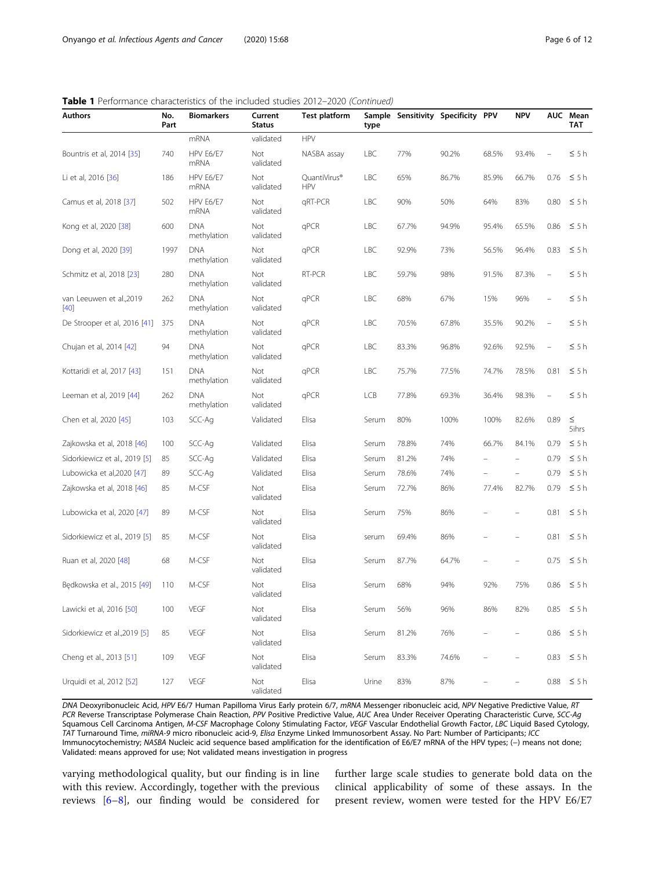|  | <b>Table 1</b> Performance characteristics of the included studies 2012-2020 (Continued) |  |  |  |
|--|------------------------------------------------------------------------------------------|--|--|--|
|  |                                                                                          |  |  |  |

| <b>Authors</b>                    | No.<br>Part | <b>Biomarkers</b>         | Current<br><b>Status</b> | <b>Test platform</b>       | type  |       | Sample Sensitivity Specificity PPV |       | <b>NPV</b>               |      | AUC Mean<br>TAT |
|-----------------------------------|-------------|---------------------------|--------------------------|----------------------------|-------|-------|------------------------------------|-------|--------------------------|------|-----------------|
|                                   |             | mRNA                      | validated                | <b>HPV</b>                 |       |       |                                    |       |                          |      |                 |
| Bountris et al, 2014 [35]         | 740         | HPV E6/E7<br><b>mRNA</b>  | Not<br>validated         | NASBA assay                | LBC   | 77%   | 90.2%                              | 68.5% | 93.4%                    |      | $\leq 5h$       |
| Li et al, 2016 [36]               | 186         | HPV E6/E7<br><b>mRNA</b>  | Not<br>validated         | QuantiVirus®<br><b>HPV</b> | LBC   | 65%   | 86.7%                              | 85.9% | 66.7%                    | 0.76 | $\leq 5h$       |
| Camus et al, 2018 [37]            | 502         | HPV E6/E7<br>mRNA         | Not<br>validated         | qRT-PCR                    | LBC   | 90%   | 50%                                | 64%   | 83%                      | 0.80 | $\leq$ 5 h      |
| Kong et al, 2020 [38]             | 600         | <b>DNA</b><br>methylation | Not<br>validated         | qPCR                       | LBC   | 67.7% | 94.9%                              | 95.4% | 65.5%                    | 0.86 | $\leq 5h$       |
| Dong et al, 2020 [39]             | 1997        | <b>DNA</b><br>methylation | Not<br>validated         | qPCR                       | LBC   | 92.9% | 73%                                | 56.5% | 96.4%                    | 0.83 | $\leq 5h$       |
| Schmitz et al, 2018 [23]          | 280         | <b>DNA</b><br>methylation | Not<br>validated         | RT-PCR                     | LBC   | 59.7% | 98%                                | 91.5% | 87.3%                    |      | $\leq 5h$       |
| van Leeuwen et al.,2019<br>$[40]$ | 262         | <b>DNA</b><br>methylation | Not<br>validated         | qPCR                       | LBC   | 68%   | 67%                                | 15%   | 96%                      |      | $\leq 5h$       |
| De Strooper et al, 2016 [41]      | 375         | <b>DNA</b><br>methylation | Not<br>validated         | qPCR                       | LBC   | 70.5% | 67.8%                              | 35.5% | 90.2%                    |      | $\leq 5h$       |
| Chujan et al, 2014 [42]           | 94          | <b>DNA</b><br>methylation | Not<br>validated         | qPCR                       | LBC   | 83.3% | 96.8%                              | 92.6% | 92.5%                    |      | $\leq 5h$       |
| Kottaridi et al, 2017 [43]        | 151         | <b>DNA</b><br>methylation | Not<br>validated         | qPCR                       | LBC   | 75.7% | 77.5%                              | 74.7% | 78.5%                    | 0.81 | $\leq 5h$       |
| Leeman et al, 2019 [44]           | 262         | <b>DNA</b><br>methylation | Not<br>validated         | qPCR                       | LCB   | 77.8% | 69.3%                              | 36.4% | 98.3%                    |      | $\leq 5h$       |
| Chen et al, 2020 [45]             | 103         | SCC-Ag                    | Validated                | Elisa                      | Serum | 80%   | 100%                               | 100%  | 82.6%                    | 0.89 | $\leq$<br>5ihrs |
| Zajkowska et al, 2018 [46]        | 100         | SCC-Ag                    | Validated                | Elisa                      | Serum | 78.8% | 74%                                | 66.7% | 84.1%                    | 0.79 | $\leq 5h$       |
| Sidorkiewicz et al., 2019 [5]     | 85          | SCC-Ag                    | Validated                | Elisa                      | Serum | 81.2% | 74%                                |       |                          | 0.79 | $\leq 5h$       |
| Lubowicka et al, 2020 [47]        | 89          | SCC-Ag                    | Validated                | Elisa                      | Serum | 78.6% | 74%                                |       |                          | 0.79 | $\leq 5h$       |
| Zajkowska et al, 2018 [46]        | 85          | M-CSF                     | Not<br>validated         | Elisa                      | Serum | 72.7% | 86%                                | 77.4% | 82.7%                    | 0.79 | $\leq 5h$       |
| Lubowicka et al, 2020 [47]        | 89          | M-CSF                     | Not<br>validated         | Elisa                      | Serum | 75%   | 86%                                |       |                          | 0.81 | $\leq 5h$       |
| Sidorkiewicz et al., 2019 [5]     | 85          | M-CSF                     | Not<br>validated         | Elisa                      | serum | 69.4% | 86%                                |       |                          | 0.81 | $\leq 5h$       |
| Ruan et al, 2020 [48]             | 68          | M-CSF                     | Not<br>validated         | Elisa                      | Serum | 87.7% | 64.7%                              |       |                          | 0.75 | $\leq 5h$       |
| Bedkowska et al., 2015 [49]       | 110         | M-CSF                     | Not<br>validated         | Elisa                      | Serum | 68%   | 94%                                | 92%   | 75%                      | 0.86 | $\leq$ 5 h      |
| Lawicki et al, 2016 [50]          | 100         | VEGF                      | Not<br>validated         | Elisa                      | Serum | 56%   | 96%                                | 86%   | 82%                      | 0.85 | $\leq 5h$       |
| Sidorkiewicz et al., 2019 [5]     | 85          | VEGF                      | Not<br>validated         | Elisa                      | Serum | 81.2% | 76%                                |       |                          | 0.86 | $\leq 5h$       |
| Cheng et al., 2013 [51]           | 109         | VEGF                      | Not<br>validated         | Elisa                      | Serum | 83.3% | 74.6%                              |       | $\overline{\phantom{0}}$ | 0.83 | $\leq 5h$       |
| Urquidi et al, 2012 [52]          | 127         | VEGF                      | Not<br>validated         | Elisa                      | Urine | 83%   | 87%                                |       |                          | 0.88 | $\leq 5h$       |

DNA Deoxyribonucleic Acid, HPV E6/7 Human Papilloma Virus Early protein 6/7, mRNA Messenger ribonucleic acid, NPV Negative Predictive Value, RT PCR Reverse Transcriptase Polymerase Chain Reaction, PPV Positive Predictive Value, AUC Area Under Receiver Operating Characteristic Curve, SCC-Ag Squamous Cell Carcinoma Antigen, M-CSF Macrophage Colony Stimulating Factor, VEGF Vascular Endothelial Growth Factor, LBC Liquid Based Cytology, TAT Turnaround Time, miRNA-9 micro ribonucleic acid-9, Elisa Enzyme Linked Immunosorbent Assay. No Part: Number of Participants; ICC Immunocytochemistry; NASBA Nucleic acid sequence based amplification for the identification of E6/E7 mRNA of the HPV types; (−) means not done; Validated: means approved for use; Not validated means investigation in progress

varying methodological quality, but our finding is in line with this review. Accordingly, together with the previous reviews [[6](#page-9-0)–[8](#page-9-0)], our finding would be considered for

further large scale studies to generate bold data on the clinical applicability of some of these assays. In the present review, women were tested for the HPV E6/E7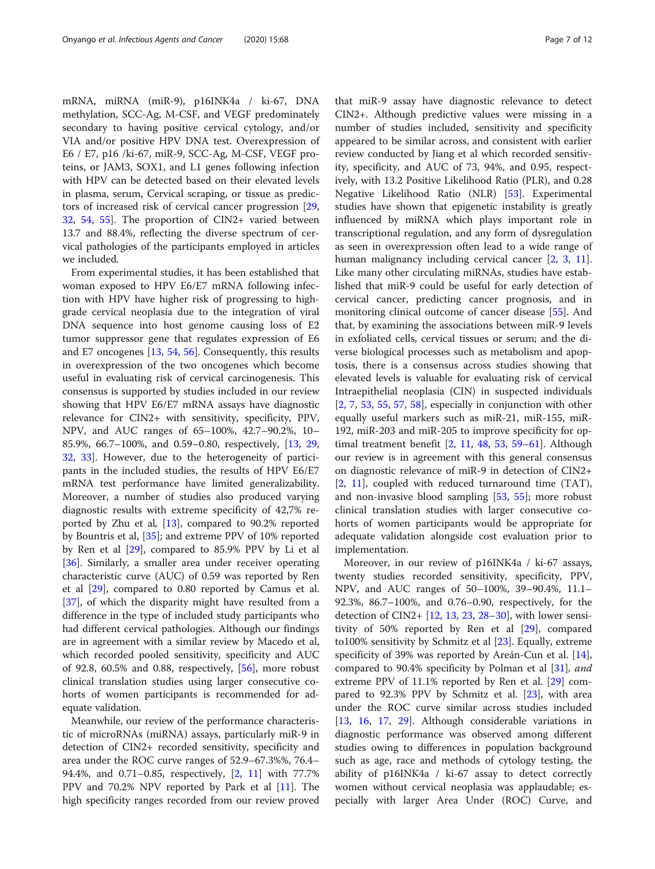mRNA, miRNA (miR-9), p16INK4a / ki-67, DNA methylation, SCC-Ag, M-CSF, and VEGF predominately secondary to having positive cervical cytology, and/or VIA and/or positive HPV DNA test. Overexpression of E6 / E7, p16 /ki-67, miR-9, SCC-Ag, M-CSF, VEGF proteins, or JAM3, SOX1, and L1 genes following infection with HPV can be detected based on their elevated levels in plasma, serum, Cervical scraping, or tissue as predictors of increased risk of cervical cancer progression [[29](#page-10-0), [32,](#page-10-0) [54](#page-10-0), [55](#page-10-0)]. The proportion of CIN2+ varied between 13.7 and 88.4%, reflecting the diverse spectrum of cervical pathologies of the participants employed in articles we included.

From experimental studies, it has been established that woman exposed to HPV E6/E7 mRNA following infection with HPV have higher risk of progressing to highgrade cervical neoplasia due to the integration of viral DNA sequence into host genome causing loss of E2 tumor suppressor gene that regulates expression of E6 and E7 oncogenes [\[13,](#page-9-0) [54,](#page-10-0) [56\]](#page-10-0). Consequently, this results in overexpression of the two oncogenes which become useful in evaluating risk of cervical carcinogenesis. This consensus is supported by studies included in our review showing that HPV E6/E7 mRNA assays have diagnostic relevance for CIN2+ with sensitivity, specificity, PPV, NPV, and AUC ranges of 65–100%, 42.7–90.2%, 10– 85.9%, 66.7–100%, and 0.59–0.80, respectively, [[13,](#page-9-0) [29](#page-10-0), [32,](#page-10-0) [33](#page-10-0)]. However, due to the heterogeneity of participants in the included studies, the results of HPV E6/E7 mRNA test performance have limited generalizability. Moreover, a number of studies also produced varying diagnostic results with extreme specificity of 42,7% reported by Zhu et al, [[13\]](#page-9-0), compared to 90.2% reported by Bountris et al, [[35](#page-10-0)]; and extreme PPV of 10% reported by Ren et al [\[29](#page-10-0)], compared to 85.9% PPV by Li et al [[36\]](#page-10-0). Similarly, a smaller area under receiver operating characteristic curve (AUC) of 0.59 was reported by Ren et al [[29](#page-10-0)], compared to 0.80 reported by Camus et al. [[37\]](#page-10-0), of which the disparity might have resulted from a difference in the type of included study participants who had different cervical pathologies. Although our findings are in agreement with a similar review by Macedo et al, which recorded pooled sensitivity, specificity and AUC of 92.8, 60.5% and 0.88, respectively,  $[56]$  $[56]$ , more robust clinical translation studies using larger consecutive cohorts of women participants is recommended for adequate validation.

Meanwhile, our review of the performance characteristic of microRNAs (miRNA) assays, particularly miR-9 in detection of CIN2+ recorded sensitivity, specificity and area under the ROC curve ranges of 52.9–67.3%%, 76.4– 94.4%, and 0.71–0.85, respectively, [\[2](#page-9-0), [11](#page-9-0)] with 77.7% PPV and 70.2% NPV reported by Park et al [[11](#page-9-0)]. The high specificity ranges recorded from our review proved

that miR-9 assay have diagnostic relevance to detect CIN2+. Although predictive values were missing in a number of studies included, sensitivity and specificity appeared to be similar across, and consistent with earlier review conducted by Jiang et al which recorded sensitivity, specificity, and AUC of 73, 94%, and 0.95, respectively, with 13.2 Positive Likelihood Ratio (PLR), and 0.28 Negative Likelihood Ratio (NLR) [[53\]](#page-10-0). Experimental studies have shown that epigenetic instability is greatly influenced by miRNA which plays important role in transcriptional regulation, and any form of dysregulation as seen in overexpression often lead to a wide range of human malignancy including cervical cancer [[2](#page-9-0), [3,](#page-9-0) [11](#page-9-0)]. Like many other circulating miRNAs, studies have established that miR-9 could be useful for early detection of cervical cancer, predicting cancer prognosis, and in monitoring clinical outcome of cancer disease [\[55](#page-10-0)]. And that, by examining the associations between miR-9 levels in exfoliated cells, cervical tissues or serum; and the diverse biological processes such as metabolism and apoptosis, there is a consensus across studies showing that elevated levels is valuable for evaluating risk of cervical Intraepithelial neoplasia (CIN) in suspected individuals  $[2, 7, 53, 55, 57, 58]$  $[2, 7, 53, 55, 57, 58]$  $[2, 7, 53, 55, 57, 58]$  $[2, 7, 53, 55, 57, 58]$  $[2, 7, 53, 55, 57, 58]$  $[2, 7, 53, 55, 57, 58]$  $[2, 7, 53, 55, 57, 58]$  $[2, 7, 53, 55, 57, 58]$  $[2, 7, 53, 55, 57, 58]$  $[2, 7, 53, 55, 57, 58]$  $[2, 7, 53, 55, 57, 58]$  $[2, 7, 53, 55, 57, 58]$  $[2, 7, 53, 55, 57, 58]$ , especially in conjunction with other equally useful markers such as miR-21, miR-155, miR-192, miR-203 and miR-205 to improve specificity for optimal treatment benefit [[2,](#page-9-0) [11](#page-9-0), [48](#page-10-0), [53,](#page-10-0) [59](#page-10-0)–[61](#page-10-0)]. Although our review is in agreement with this general consensus on diagnostic relevance of miR-9 in detection of CIN2+ [[2,](#page-9-0) [11](#page-9-0)], coupled with reduced turnaround time (TAT), and non-invasive blood sampling [\[53](#page-10-0), [55](#page-10-0)]; more robust clinical translation studies with larger consecutive cohorts of women participants would be appropriate for adequate validation alongside cost evaluation prior to implementation.

Moreover, in our review of p16INK4a / ki-67 assays, twenty studies recorded sensitivity, specificity, PPV, NPV, and AUC ranges of 50–100%, 39–90.4%, 11.1– 92.3%, 86.7–100%, and 0.76–0.90, respectively, for the detection of CIN2+ [\[12](#page-9-0), [13](#page-9-0), [23,](#page-9-0) [28](#page-10-0)–[30\]](#page-10-0), with lower sensitivity of 50% reported by Ren et al [[29\]](#page-10-0), compared to100% sensitivity by Schmitz et al [\[23](#page-9-0)]. Equally, extreme specificity of 39% was reported by Areán-Cun et al. [\[14](#page-9-0)], compared to 90.4% specificity by Polman et al [\[31\]](#page-10-0), and extreme PPV of 11.1% reported by Ren et al. [[29](#page-10-0)] compared to 92.3% PPV by Schmitz et al. [[23\]](#page-9-0), with area under the ROC curve similar across studies included [[13,](#page-9-0) [16,](#page-9-0) [17,](#page-9-0) [29\]](#page-10-0). Although considerable variations in diagnostic performance was observed among different studies owing to differences in population background such as age, race and methods of cytology testing, the ability of p16INK4a / ki-67 assay to detect correctly women without cervical neoplasia was applaudable; especially with larger Area Under (ROC) Curve, and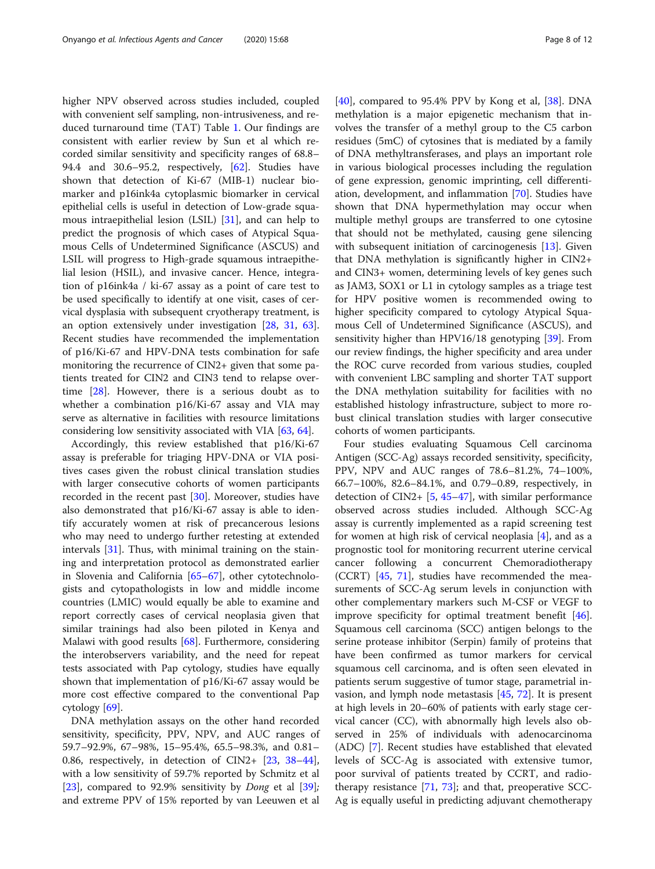higher NPV observed across studies included, coupled with convenient self sampling, non-intrusiveness, and reduced turnaround time (TAT) Table [1.](#page-4-0) Our findings are consistent with earlier review by Sun et al which recorded similar sensitivity and specificity ranges of 68.8– 94.4 and 30.6–95.2, respectively, [[62](#page-11-0)]. Studies have shown that detection of Ki-67 (MIB-1) nuclear biomarker and p16ink4a cytoplasmic biomarker in cervical epithelial cells is useful in detection of Low-grade squamous intraepithelial lesion (LSIL) [\[31](#page-10-0)], and can help to predict the prognosis of which cases of Atypical Squamous Cells of Undetermined Significance (ASCUS) and LSIL will progress to High-grade squamous intraepithelial lesion (HSIL), and invasive cancer. Hence, integration of p16ink4a / ki-67 assay as a point of care test to be used specifically to identify at one visit, cases of cervical dysplasia with subsequent cryotherapy treatment, is an option extensively under investigation [\[28](#page-10-0), [31](#page-10-0), [63](#page-11-0)]. Recent studies have recommended the implementation of p16/Ki-67 and HPV-DNA tests combination for safe monitoring the recurrence of CIN2+ given that some patients treated for CIN2 and CIN3 tend to relapse overtime [[28](#page-10-0)]. However, there is a serious doubt as to whether a combination p16/Ki-67 assay and VIA may serve as alternative in facilities with resource limitations considering low sensitivity associated with VIA [[63](#page-11-0), [64](#page-11-0)].

Accordingly, this review established that p16/Ki-67 assay is preferable for triaging HPV-DNA or VIA positives cases given the robust clinical translation studies with larger consecutive cohorts of women participants recorded in the recent past [\[30\]](#page-10-0). Moreover, studies have also demonstrated that p16/Ki-67 assay is able to identify accurately women at risk of precancerous lesions who may need to undergo further retesting at extended intervals [[31\]](#page-10-0). Thus, with minimal training on the staining and interpretation protocol as demonstrated earlier in Slovenia and California [[65](#page-11-0)–[67](#page-11-0)], other cytotechnologists and cytopathologists in low and middle income countries (LMIC) would equally be able to examine and report correctly cases of cervical neoplasia given that similar trainings had also been piloted in Kenya and Malawi with good results [\[68](#page-11-0)]. Furthermore, considering the interobservers variability, and the need for repeat tests associated with Pap cytology, studies have equally shown that implementation of p16/Ki-67 assay would be more cost effective compared to the conventional Pap cytology  $[69]$  $[69]$  $[69]$ .

DNA methylation assays on the other hand recorded sensitivity, specificity, PPV, NPV, and AUC ranges of 59.7–92.9%, 67–98%, 15–95.4%, 65.5–98.3%, and 0.81– 0.86, respectively, in detection of CIN2+ [\[23](#page-9-0), [38](#page-10-0)–[44](#page-10-0)], with a low sensitivity of 59.7% reported by Schmitz et al [[23\]](#page-9-0), compared to 92.9% sensitivity by *Dong* et al  $[39]$  $[39]$ ; and extreme PPV of 15% reported by van Leeuwen et al

[[40\]](#page-10-0), compared to 95.4% PPV by Kong et al, [\[38\]](#page-10-0). DNA methylation is a major epigenetic mechanism that involves the transfer of a methyl group to the C5 carbon residues (5mC) of cytosines that is mediated by a family of DNA methyltransferases, and plays an important role in various biological processes including the regulation of gene expression, genomic imprinting, cell differentiation, development, and inflammation [[70](#page-11-0)]. Studies have shown that DNA hypermethylation may occur when multiple methyl groups are transferred to one cytosine that should not be methylated, causing gene silencing with subsequent initiation of carcinogenesis [\[13](#page-9-0)]. Given that DNA methylation is significantly higher in CIN2+ and CIN3+ women, determining levels of key genes such as JAM3, SOX1 or L1 in cytology samples as a triage test for HPV positive women is recommended owing to higher specificity compared to cytology Atypical Squamous Cell of Undetermined Significance (ASCUS), and sensitivity higher than HPV16/18 genotyping [[39\]](#page-10-0). From our review findings, the higher specificity and area under the ROC curve recorded from various studies, coupled with convenient LBC sampling and shorter TAT support the DNA methylation suitability for facilities with no established histology infrastructure, subject to more robust clinical translation studies with larger consecutive cohorts of women participants.

Four studies evaluating Squamous Cell carcinoma Antigen (SCC-Ag) assays recorded sensitivity, specificity, PPV, NPV and AUC ranges of 78.6–81.2%, 74–100%, 66.7–100%, 82.6–84.1%, and 0.79–0.89, respectively, in detection of CIN2+ [[5,](#page-9-0) [45](#page-10-0)–[47\]](#page-10-0), with similar performance observed across studies included. Although SCC-Ag assay is currently implemented as a rapid screening test for women at high risk of cervical neoplasia [\[4](#page-9-0)], and as a prognostic tool for monitoring recurrent uterine cervical cancer following a concurrent Chemoradiotherapy (CCRT) [[45,](#page-10-0) [71](#page-11-0)], studies have recommended the measurements of SCC-Ag serum levels in conjunction with other complementary markers such M-CSF or VEGF to improve specificity for optimal treatment benefit [\[46](#page-10-0)]. Squamous cell carcinoma (SCC) antigen belongs to the serine protease inhibitor (Serpin) family of proteins that have been confirmed as tumor markers for cervical squamous cell carcinoma, and is often seen elevated in patients serum suggestive of tumor stage, parametrial invasion, and lymph node metastasis [\[45,](#page-10-0) [72](#page-11-0)]. It is present at high levels in 20–60% of patients with early stage cervical cancer (CC), with abnormally high levels also observed in 25% of individuals with adenocarcinoma (ADC) [[7](#page-9-0)]. Recent studies have established that elevated levels of SCC-Ag is associated with extensive tumor, poor survival of patients treated by CCRT, and radiotherapy resistance [\[71](#page-11-0), [73\]](#page-11-0); and that, preoperative SCC-Ag is equally useful in predicting adjuvant chemotherapy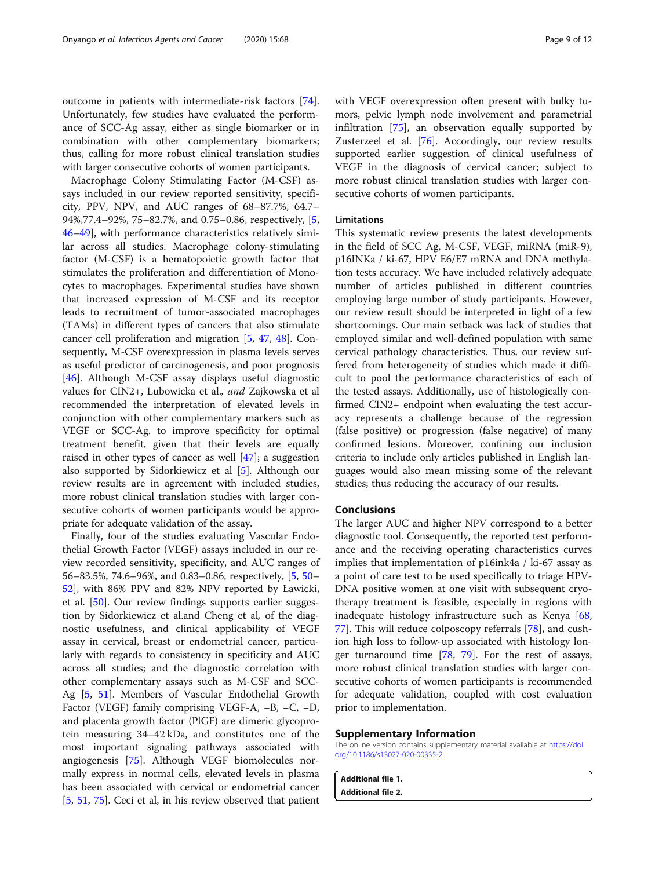<span id="page-8-0"></span>outcome in patients with intermediate-risk factors [\[74](#page-11-0)]. Unfortunately, few studies have evaluated the performance of SCC-Ag assay, either as single biomarker or in combination with other complementary biomarkers; thus, calling for more robust clinical translation studies with larger consecutive cohorts of women participants.

Macrophage Colony Stimulating Factor (M-CSF) assays included in our review reported sensitivity, specificity, PPV, NPV, and AUC ranges of 68–87.7%, 64.7– 94%,77.4–92%, 75–82.7%, and 0.75–0.86, respectively, [\[5](#page-9-0), [46](#page-10-0)–[49](#page-10-0)], with performance characteristics relatively similar across all studies. Macrophage colony-stimulating factor (M-CSF) is a hematopoietic growth factor that stimulates the proliferation and differentiation of Monocytes to macrophages. Experimental studies have shown that increased expression of M-CSF and its receptor leads to recruitment of tumor-associated macrophages (TAMs) in different types of cancers that also stimulate cancer cell proliferation and migration [[5](#page-9-0), [47](#page-10-0), [48\]](#page-10-0). Consequently, M-CSF overexpression in plasma levels serves as useful predictor of carcinogenesis, and poor prognosis [[46\]](#page-10-0). Although M-CSF assay displays useful diagnostic values for CIN2+, Lubowicka et al., and Zajkowska et al recommended the interpretation of elevated levels in conjunction with other complementary markers such as VEGF or SCC-Ag. to improve specificity for optimal treatment benefit, given that their levels are equally raised in other types of cancer as well [\[47](#page-10-0)]; a suggestion also supported by Sidorkiewicz et al [[5\]](#page-9-0). Although our review results are in agreement with included studies, more robust clinical translation studies with larger consecutive cohorts of women participants would be appropriate for adequate validation of the assay.

Finally, four of the studies evaluating Vascular Endothelial Growth Factor (VEGF) assays included in our review recorded sensitivity, specificity, and AUC ranges of 56–83.5%, 74.6–96%, and 0.83–0.86, respectively, [[5,](#page-9-0) [50](#page-10-0)– [52\]](#page-10-0), with 86% PPV and 82% NPV reported by Ławicki, et al. [[50](#page-10-0)]. Our review findings supports earlier suggestion by Sidorkiewicz et al.and Cheng et al, of the diagnostic usefulness, and clinical applicability of VEGF assay in cervical, breast or endometrial cancer, particularly with regards to consistency in specificity and AUC across all studies; and the diagnostic correlation with other complementary assays such as M-CSF and SCC-Ag [[5,](#page-9-0) [51](#page-10-0)]. Members of Vascular Endothelial Growth Factor (VEGF) family comprising VEGF-A, −B, −C, −D, and placenta growth factor (PlGF) are dimeric glycoprotein measuring 34–42 kDa, and constitutes one of the most important signaling pathways associated with angiogenesis [\[75\]](#page-11-0). Although VEGF biomolecules normally express in normal cells, elevated levels in plasma has been associated with cervical or endometrial cancer [[5,](#page-9-0) [51,](#page-10-0) [75](#page-11-0)]. Ceci et al, in his review observed that patient with VEGF overexpression often present with bulky tumors, pelvic lymph node involvement and parametrial infiltration [\[75](#page-11-0)], an observation equally supported by Zusterzeel et al. [[76\]](#page-11-0). Accordingly, our review results supported earlier suggestion of clinical usefulness of VEGF in the diagnosis of cervical cancer; subject to more robust clinical translation studies with larger consecutive cohorts of women participants.

# Limitations

This systematic review presents the latest developments in the field of SCC Ag, M-CSF, VEGF, miRNA (miR-9), p16INKa / ki-67, HPV E6/E7 mRNA and DNA methylation tests accuracy. We have included relatively adequate number of articles published in different countries employing large number of study participants. However, our review result should be interpreted in light of a few shortcomings. Our main setback was lack of studies that employed similar and well-defined population with same cervical pathology characteristics. Thus, our review suffered from heterogeneity of studies which made it difficult to pool the performance characteristics of each of the tested assays. Additionally, use of histologically confirmed CIN2+ endpoint when evaluating the test accuracy represents a challenge because of the regression (false positive) or progression (false negative) of many confirmed lesions. Moreover, confining our inclusion criteria to include only articles published in English languages would also mean missing some of the relevant studies; thus reducing the accuracy of our results.

# Conclusions

The larger AUC and higher NPV correspond to a better diagnostic tool. Consequently, the reported test performance and the receiving operating characteristics curves implies that implementation of p16ink4a / ki-67 assay as a point of care test to be used specifically to triage HPV-DNA positive women at one visit with subsequent cryotherapy treatment is feasible, especially in regions with inadequate histology infrastructure such as Kenya [[68](#page-11-0), [77\]](#page-11-0). This will reduce colposcopy referrals [[78\]](#page-11-0), and cushion high loss to follow-up associated with histology longer turnaround time [\[78,](#page-11-0) [79](#page-11-0)]. For the rest of assays, more robust clinical translation studies with larger consecutive cohorts of women participants is recommended for adequate validation, coupled with cost evaluation prior to implementation.

#### Supplementary Information

The online version contains supplementary material available at [https://doi.](https://doi.org/10.1186/s13027-020-00335-2) [org/10.1186/s13027-020-00335-2.](https://doi.org/10.1186/s13027-020-00335-2)

Additional file 1. Additional file 2.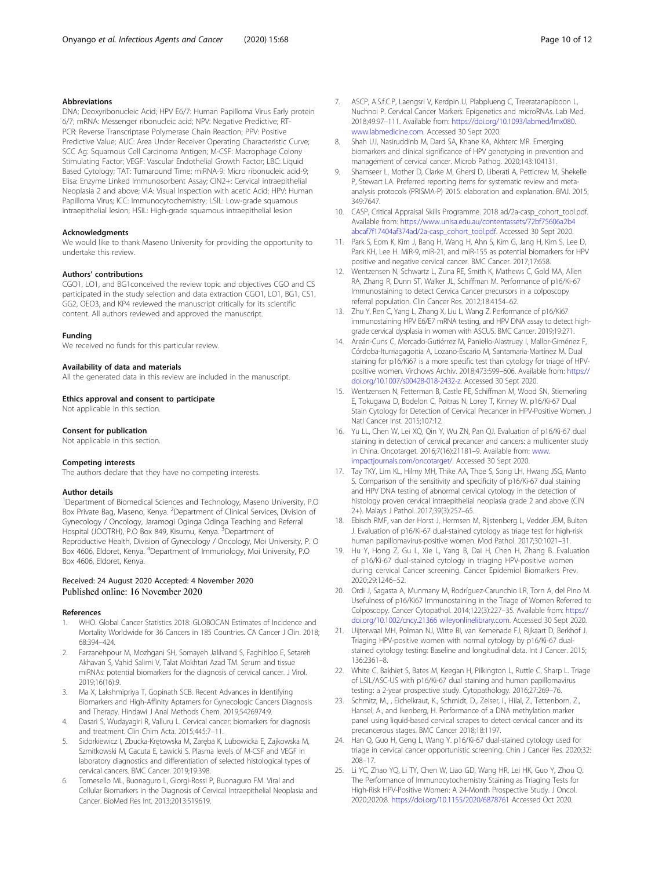# <span id="page-9-0"></span>Abbreviations

DNA: Deoxyribonucleic Acid; HPV E6/7: Human Papilloma Virus Early protein 6/7; mRNA: Messenger ribonucleic acid; NPV: Negative Predictive; RT-PCR: Reverse Transcriptase Polymerase Chain Reaction; PPV: Positive Predictive Value; AUC: Area Under Receiver Operating Characteristic Curve; SCC Ag: Squamous Cell Carcinoma Antigen; M-CSF: Macrophage Colony Stimulating Factor; VEGF: Vascular Endothelial Growth Factor; LBC: Liquid Based Cytology; TAT: Turnaround Time; miRNA-9: Micro ribonucleic acid-9; Elisa: Enzyme Linked Immunosorbent Assay; CIN2+: Cervical intraepithelial Neoplasia 2 and above; VIA: Visual Inspection with acetic Acid; HPV: Human Papilloma Virus; ICC: Immunocytochemistry; LSIL: Low-grade squamous intraepithelial lesion; HSIL: High-grade squamous intraepithelial lesion

#### **Acknowledaments**

We would like to thank Maseno University for providing the opportunity to undertake this review.

#### Authors' contributions

CGO1, LO1, and BG1conceived the review topic and objectives CGO and CS participated in the study selection and data extraction CGO1, LO1, BG1, CS1, GG2, OEO3, and KP4 reviewed the manuscript critically for its scientific content. All authors reviewed and approved the manuscript.

#### Funding

We received no funds for this particular review.

#### Availability of data and materials

All the generated data in this review are included in the manuscript.

#### Ethics approval and consent to participate

Not applicable in this section.

#### Consent for publication

Not applicable in this section.

#### Competing interests

The authors declare that they have no competing interests.

#### Author details

<sup>1</sup>Department of Biomedical Sciences and Technology, Maseno University, P.O Box Private Bag, Maseno, Kenya. <sup>2</sup> Department of Clinical Services, Division of Gynecology / Oncology, Jaramogi Oginga Odinga Teaching and Referral Hospital (JOOTRH), P.O Box 849, Kisumu, Kenya. <sup>3</sup>Department of Reproductive Health, Division of Gynecology / Oncology, Moi University, P. O Box 4606, Eldoret, Kenya. <sup>4</sup>Department of Immunology, Moi University, P.O Box 4606, Eldoret, Kenya.

# Received: 24 August 2020 Accepted: 4 November 2020 Published online: 16 November 2020

#### References

- 1. WHO. Global Cancer Statistics 2018: GLOBOCAN Estimates of Incidence and Mortality Worldwide for 36 Cancers in 185 Countries. CA Cancer J Clin. 2018; 68:394–424.
- 2. Farzanehpour M, Mozhgani SH, Somayeh Jalilvand S, Faghihloo E, Setareh Akhavan S, Vahid Salimi V, Talat Mokhtari Azad TM. Serum and tissue miRNAs: potential biomarkers for the diagnosis of cervical cancer. J Virol. 2019;16(16):9.
- Ma X, Lakshmipriya T, Gopinath SCB. Recent Advances in Identifying Biomarkers and High-Affinity Aptamers for Gynecologic Cancers Diagnosis and Therapy. Hindawi J Anal Methods Chem. 2019;5426974:9.
- 4. Dasari S, Wudayagiri R, Valluru L. Cervical cancer: biomarkers for diagnosis and treatment. Clin Chim Acta. 2015;445:7–11.
- 5. Sidorkiewicz I, Zbucka-Krętowska M, Zaręba K, Lubowicka E, Zajkowska M, Szmitkowski M, Gacuta E, Ławicki S. Plasma levels of M-CSF and VEGF in laboratory diagnostics and differentiation of selected histological types of cervical cancers. BMC Cancer. 2019;19:398.
- Tornesello ML, Buonaguro L, Giorgi-Rossi P, Buonaguro FM. Viral and Cellular Biomarkers in the Diagnosis of Cervical Intraepithelial Neoplasia and Cancer. BioMed Res Int. 2013;2013:519619.
- 7. ASCP, A.S.f.C.P, Laengsri V, Kerdpin U, Plabplueng C, Treeratanapiboon L, Nuchnoi P. Cervical Cancer Markers: Epigenetics and microRNAs. Lab Med. 2018;49:97–111. Available from: [https://doi.org/10.1093/labmed/lmx080.](https://doi.org/10.1093/labmed/lmx080) [www.labmedicine.com](http://www.labmedicine.com). Accessed 30 Sept 2020.
- 8. Shah UJ, Nasiruddinb M, Dard SA, Khane KA, Akhterc MR. Emerging biomarkers and clinical significance of HPV genotyping in prevention and management of cervical cancer. Microb Pathog. 2020;143:104131.
- 9. Shamseer L, Mother D, Clarke M, Ghersi D, Liberati A, Petticrew M, Shekelle P, Stewart LA. Preferred reporting items for systematic review and metaanalysis protocols (PRISMA-P) 2015: elaboration and explanation. BMJ. 2015; 349:7647.
- 10. CASP, Critical Appraisal Skills Programme. 2018 ad/2a-casp\_cohort\_tool.pdf. Available from: [https://www.unisa.edu.au/contentassets/72bf75606a2b4](https://www.unisa.edu.au/contentassets/72bf75606a2b4abcaf7f17404af374ad/2a-casp_cohort_tool.pdf) [abcaf7f17404af374ad/2a-casp\\_cohort\\_tool.pdf](https://www.unisa.edu.au/contentassets/72bf75606a2b4abcaf7f17404af374ad/2a-casp_cohort_tool.pdf). Accessed 30 Sept 2020.
- 11. Park S, Eom K, Kim J, Bang H, Wang H, Ahn S, Kim G, Jang H, Kim S, Lee D, Park KH, Lee H. MiR-9, miR-21, and miR-155 as potential biomarkers for HPV positive and negative cervical cancer. BMC Cancer. 2017;17:658.
- 12. Wentzensen N, Schwartz L, Zuna RE, Smith K, Mathews C, Gold MA, Allen RA, Zhang R, Dunn ST, Walker JL, Schiffman M. Performance of p16/Ki-67 Immunostaining to detect Cervica Cancer precursors in a colposcopy referral population. Clin Cancer Res. 2012;18:4154–62.
- 13. Zhu Y, Ren C, Yang L, Zhang X, Liu L, Wang Z. Performance of p16/Ki67 immunostaining HPV E6/E7 mRNA testing, and HPV DNA assay to detect highgrade cervical dysplasia in women with ASCUS. BMC Cancer. 2019;19:271.
- 14. Areán-Cuns C, Mercado-Gutiérrez M, Paniello-Alastruey I, Mallor-Giménez F, Córdoba-Iturriagagoitia A, Lozano-Escario M, Santamaria-Martínez M. Dual staining for p16/Ki67 is a more specific test than cytology for triage of HPVpositive women. Virchows Archiv. 2018;473:599–606. Available from: [https://](https://doi.org/10.1007/s00428-018-2432-z) [doi.org/10.1007/s00428-018-2432-z.](https://doi.org/10.1007/s00428-018-2432-z) Accessed 30 Sept 2020.
- 15. Wentzensen N, Fetterman B, Castle PE, Schiffman M, Wood SN, Stiemerling E, Tokugawa D, Bodelon C, Poitras N, Lorey T, Kinney W. p16/Ki-67 Dual Stain Cytology for Detection of Cervical Precancer in HPV-Positive Women. J Natl Cancer Inst. 2015;107:12.
- 16. Yu LL, Chen W, Lei XQ, Qin Y, Wu ZN, Pan QJ. Evaluation of p16/Ki-67 dual staining in detection of cervical precancer and cancers: a multicenter study in China. Oncotarget. 2016;7(16):21181–9. Available from: [www.](http://www.impactjournals.com/oncotarget/) [impactjournals.com/oncotarget/](http://www.impactjournals.com/oncotarget/). Accessed 30 Sept 2020.
- 17. Tay TKY, Lim KL, Hilmy MH, Thike AA, Thoe S, Song LH, Hwang JSG, Manto S. Comparison of the sensitivity and specificity of p16/Ki-67 dual staining and HPV DNA testing of abnormal cervical cytology in the detection of histology proven cervical intraepithelial neoplasia grade 2 and above (CIN 2+). Malays J Pathol. 2017;39(3):257–65.
- 18. Ebisch RMF, van der Horst J, Hermsen M, Rijstenberg L, Vedder JEM, Bulten J. Evaluation of p16/Ki-67 dual-stained cytology as triage test for high-risk human papillomavirus-positive women. Mod Pathol. 2017;30:1021–31.
- 19. Hu Y, Hong Z, Gu L, Xie L, Yang B, Dai H, Chen H, Zhang B. Evaluation of p16/Ki-67 dual-stained cytology in triaging HPV-positive women during cervical Cancer screening. Cancer Epidemiol Biomarkers Prev. 2020;29:1246–52.
- 20. Ordi J, Sagasta A, Munmany M, Rodríguez-Carunchio LR, Torn A, del Pino M. Usefulness of p16/Ki67 Immunostaining in the Triage of Women Referred to Colposcopy. Cancer Cytopathol. 2014;122(3):227–35. Available from: [https://](https://doi.org/10.1002/cncy.21366) [doi.org/10.1002/cncy.21366](https://doi.org/10.1002/cncy.21366) [wileyonlinelibrary.com](http://www.wileyonlinelibrary.com). Accessed 30 Sept 2020.
- 21. Uijterwaal MH, Polman NJ, Witte BI, van Kemenade FJ, Rijkaart D, Berkhof J. Triaging HPV-positive women with normal cytology by p16/Ki-67 dualstained cytology testing: Baseline and longitudinal data. Int J Cancer. 2015; 136:2361–8.
- 22. White C, Bakhiet S, Bates M, Keegan H, Pilkington L, Ruttle C, Sharp L. Triage of LSIL/ASC-US with p16/Ki-67 dual staining and human papillomavirus testing: a 2-year prospective study. Cytopathology. 2016;27:269–76.
- 23. Schmitz, M., , Eichelkraut, K., Schmidt, D., Zeiser, I., Hilal, Z., Tettenborn, Z., Hansel, A., and Ikenberg, H. Performance of a DNA methylation marker panel using liquid-based cervical scrapes to detect cervical cancer and its precancerous stages. BMC Cancer 2018;18:1197.
- 24. Han Q, Guo H, Geng L, Wang Y. p16/Ki-67 dual-stained cytology used for triage in cervical cancer opportunistic screening. Chin J Cancer Res. 2020;32: 208–17.
- 25. Li YC, Zhao YQ, Li TY, Chen W, Liao GD, Wang HR, Lei HK, Guo Y, Zhou Q. The Performance of Immunocytochemistry Staining as Triaging Tests for High-Risk HPV-Positive Women: A 24-Month Prospective Study. J Oncol. 2020;2020:8. <https://doi.org/10.1155/2020/6878761> Accessed Oct 2020.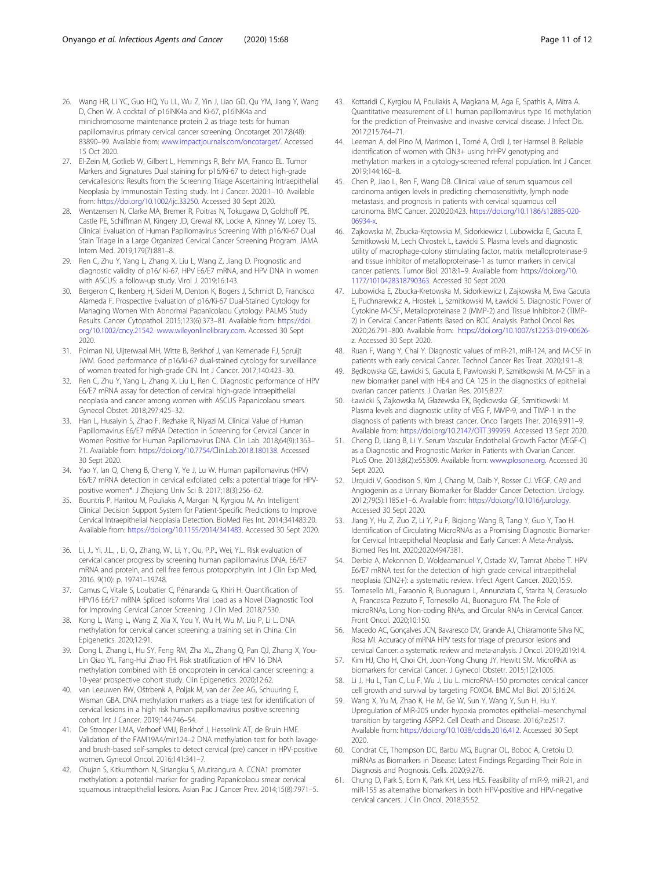- <span id="page-10-0"></span>26. Wang HR, Li YC, Guo HQ, Yu LL, Wu Z, Yin J, Liao GD, Qu YM, Jiang Y, Wang D, Chen W. A cocktail of p16INK4a and Ki-67, p16INK4a and minichromosome maintenance protein 2 as triage tests for human papillomavirus primary cervical cancer screening. Oncotarget 2017;8(48): 83890–99. Available from: [www.impactjournals.com/oncotarget/](http://www.impactjournals.com/oncotarget/). Accessed 15 Oct 2020.
- 27. El-Zein M, Gotlieb W, Gilbert L, Hemmings R, Behr MA, Franco EL. Tumor Markers and Signatures Dual staining for p16/Ki-67 to detect high-grade cervicallesions: Results from the Screening Triage Ascertaining Intraepithelial Neoplasia by Immunostain Testing study. Int J Cancer. 2020:1–10. Available from: <https://doi.org/10.1002/ijc.33250>. Accessed 30 Sept 2020.
- 28. Wentzensen N, Clarke MA, Bremer R, Poitras N, Tokugawa D, Goldhoff PE, Castle PE, Schiffman M, Kingery JD, Grewal KK, Locke A, Kinney W, Lorey TS. Clinical Evaluation of Human Papillomavirus Screening With p16/Ki-67 Dual Stain Triage in a Large Organized Cervical Cancer Screening Program. JAMA Intern Med. 2019;179(7):881–8.
- 29. Ren C, Zhu Y, Yang L, Zhang X, Liu L, Wang Z, Jiang D. Prognostic and diagnostic validity of p16/ Ki-67, HPV E6/E7 mRNA, and HPV DNA in women with ASCUS: a follow-up study. Virol J. 2019;16:143.
- 30. Bergeron C, Ikenberg H, Sideri M, Denton K, Bogers J, Schmidt D, Francisco Alameda F. Prospective Evaluation of p16/Ki-67 Dual-Stained Cytology for Managing Women With Abnormal Papanicolaou Cytology: PALMS Study Results. Cancer Cytopathol. 2015;123(6):373–81. Available from: [https://doi.](https://doi.org/10.1002/cncy.21542) [org/10.1002/cncy.21542](https://doi.org/10.1002/cncy.21542). [www.wileyonlinelibrary.com.](http://www.wileyonlinelibrary.com) Accessed 30 Sept 2020.
- 31. Polman NJ, Uijterwaal MH, Witte B, Berkhof J, van Kemenade FJ, Spruijt JWM. Good performance of p16/ki-67 dual-stained cytology for surveillance of women treated for high-grade CIN. Int J Cancer. 2017;140:423–30.
- 32. Ren C, Zhu Y, Yang L, Zhang X, Liu L, Ren C. Diagnostic performance of HPV E6/E7 mRNA assay for detection of cervical high-grade intraepithelial neoplasia and cancer among women with ASCUS Papanicolaou smears. Gynecol Obstet. 2018;297:425–32.
- 33. Han L, Husaiyin S, Zhao F, Rezhake R, Niyazi M. Clinical Value of Human Papillomavirus E6/E7 mRNA Detection in Screening for Cervical Cancer in Women Positive for Human Papillomavirus DNA. Clin Lab. 2018;64(9):1363– 71. Available from: <https://doi.org/10.7754/Clin.Lab.2018.180138>. Accessed 30 Sept 2020.
- 34. Yao Y, Ian Q, Cheng B, Cheng Y, Ye J, Lu W. Human papillomavirus (HPV) E6/E7 mRNA detection in cervical exfoliated cells: a potential triage for HPVpositive women\*. J Zhejiang Univ Sci B. 2017;18(3):256–62.
- 35. Bountris P, Haritou M, Pouliakis A, Margari N, Kyrgiou M. An Intelligent Clinical Decision Support System for Patient-Specific Predictions to Improve Cervical Intraepithelial Neoplasia Detection. BioMed Res Int. 2014;341483:20. Available from: [https://doi.org/10.1155/2014/341483.](https://doi.org/10.1155/2014/341483) Accessed 30 Sept 2020.
- . 36. Li, J., Yi, J.L., , Li, Q., Zhang, W., Li, Y., Qu, P.P., Wei, Y.L. Risk evaluation of cervical cancer progress by screening human papillomavirus DNA, E6/E7 mRNA and protein, and cell free ferrous protoporphyrin. Int J Clin Exp Med, 2016. 9(10): p. 19741–19748.
- 37. Camus C, Vitale S, Loubatier C, Pénaranda G, Khiri H. Quantification of HPV16 E6/E7 mRNA Spliced Isoforms Viral Load as a Novel Diagnostic Tool for Improving Cervical Cancer Screening. J Clin Med. 2018;7:530.
- 38. Kong L, Wang L, Wang Z, Xia X, You Y, Wu H, Wu M, Liu P, Li L. DNA methylation for cervical cancer screening: a training set in China. Clin Epigenetics. 2020;12:91.
- 39. Dong L, Zhang L, Hu SY, Feng RM, Zha XL, Zhang Q, Pan QJ, Zhang X, You-Lin Qiao YL, Fang-Hui Zhao FH. Risk stratification of HPV 16 DNA methylation combined with E6 oncoprotein in cervical cancer screening: a 10-year prospective cohort study. Clin Epigenetics. 2020;12:62.
- 40. van Leeuwen RW, Oštrbenk A, Poljak M, van der Zee AG, Schuuring E, Wisman GBA. DNA methylation markers as a triage test for identification of cervical lesions in a high risk human papillomavirus positive screening cohort. Int J Cancer. 2019;144:746–54.
- 41. De Strooper LMA, Verhoef VMJ, Berkhof J, Hesselink AT, de Bruin HME. Validation of the FAM19A4/mir124–2 DNA methylation test for both lavageand brush-based self-samples to detect cervical (pre) cancer in HPV-positive women. Gynecol Oncol. 2016;141:341–7.
- 42. Chujan S, Kitkumthorn N, Siriangku S, Mutirangura A. CCNA1 promoter methylation: a potential marker for grading Papanicolaou smear cervical squamous intraepithelial lesions. Asian Pac J Cancer Prev. 2014;15(8):7971–5.
- 43. Kottaridi C, Kyrgiou M, Pouliakis A, Magkana M, Aga E, Spathis A, Mitra A. Quantitative measurement of L1 human papillomavirus type 16 methylation for the prediction of Preinvasive and invasive cervical disease. J Infect Dis. 2017;215:764–71.
- 44. Leeman A, del Pino M, Marimon L, Torné A, Ordi J, ter Harmsel B. Reliable identification of women with CIN3+ using hrHPV genotyping and methylation markers in a cytology-screened referral population. Int J Cancer. 2019;144:160–8.
- 45. Chen P, Jiao L, Ren F, Wang DB. Clinical value of serum squamous cell carcinoma antigen levels in predicting chemosensitivity, lymph node metastasis, and prognosis in patients with cervical squamous cell carcinoma. BMC Cancer. 2020;20:423. [https://doi.org/10.1186/s12885-020-](https://doi.org/10.1186/s12885-020-06934-x) [06934-x.](https://doi.org/10.1186/s12885-020-06934-x)
- 46. Zajkowska M, Zbucka-Krętowska M, Sidorkiewicz I, Lubowicka E, Gacuta E, Szmitkowski M, Lech Chrostek L, Ławicki S. Plasma levels and diagnostic utility of macrophage-colony stimulating factor, matrix metalloproteinase-9 and tissue inhibitor of metalloproteinase-1 as tumor markers in cervical cancer patients. Tumor Biol. 2018:1–9. Available from: [https://doi.org/10.](https://doi.org/10.1177/1010428318790363) [1177/1010428318790363](https://doi.org/10.1177/1010428318790363). Accessed 30 Sept 2020.
- 47. Lubowicka E, Zbucka-Kretowska M, Sidorkiewicz I, Zajkowska M, Ewa Gacuta E, Puchnarewicz A, Hrostek L, Szmitkowski M, Ławicki S. Diagnostic Power of Cytokine M-CSF, Metalloproteinase 2 (MMP-2) and Tissue Inhibitor-2 (TIMP-2) in Cervical Cancer Patients Based on ROC Analysis. Pathol Oncol Res. 2020;26:791–800. Available from: [https://doi.org/10.1007/s12253-019-00626](https://doi.org/10.1007/s12253-019-00626-z) [z.](https://doi.org/10.1007/s12253-019-00626-z) Accessed 30 Sept 2020.
- 48. Ruan F, Wang Y, Chai Y. Diagnostic values of miR-21, miR-124, and M-CSF in patients with early cervical Cancer. Technol Cancer Res Treat. 2020;19:1–8.
- 49. Będkowska GE, Ławicki S, Gacuta E, Pawłowski P, Szmitkowski M. M-CSF in a new biomarker panel with HE4 and CA 125 in the diagnostics of epithelial ovarian cancer patients. J Ovarian Res. 2015;8:27.
- 50. Ławicki S, Zajkowska M, Głażewska EK, Będkowska GE, Szmitkowski M. Plasma levels and diagnostic utility of VEG F, MMP-9, and TIMP-1 in the diagnosis of patients with breast cancer. Onco Targets Ther. 2016;9:911–9. Available from: <https://doi.org/10.2147/OTT.399959>. Accessed 13 Sept 2020.
- 51. Cheng D, Liang B, Li Y. Serum Vascular Endothelial Growth Factor (VEGF-C) as a Diagnostic and Prognostic Marker in Patients with Ovarian Cancer. PLoS One. 2013;8(2):e55309. Available from: [www.plosone.org.](http://www.plosone.org) Accessed 30 Sept 2020.
- 52. Urquidi V, Goodison S, Kim J, Chang M, Daib Y, Rosser CJ. VEGF, CA9 and Angiogenin as a Urinary Biomarker for Bladder Cancer Detection. Urology. 2012;79(5):1185.e1–6. Available from: [https://doi.org/10.1016/j.urology.](https://doi.org/10.1016/j.urology) Accessed 30 Sept 2020.
- 53. Jiang Y, Hu Z, Zuo Z, Li Y, Pu F, Biqiong Wang B, Tang Y, Guo Y, Tao H. Identification of Circulating MicroRNAs as a Promising Diagnostic Biomarker for Cervical Intraepithelial Neoplasia and Early Cancer: A Meta-Analysis. Biomed Res Int. 2020;2020:4947381.
- 54. Derbie A, Mekonnen D, Woldeamanuel Y, Ostade XV, Tamrat Abebe T. HPV E6/E7 mRNA test for the detection of high grade cervical intraepithelial neoplasia (CIN2+): a systematic review. Infect Agent Cancer. 2020;15:9.
- 55. Tornesello ML, Faraonio R, Buonaguro L, Annunziata C, Starita N, Cerasuolo A, Francesca Pezzuto F, Tornesello AL, Buonaguro FM. The Role of microRNAs, Long Non-coding RNAs, and Circular RNAs in Cervical Cancer. Front Oncol. 2020;10:150.
- 56. Macedo AC, Gonçalves JCN, Bavaresco DV, Grande AJ, Chiaramonte Silva NC, Rosa MI. Accuracy of mRNA HPV tests for triage of precursor lesions and cervical Cancer: a systematic review and meta-analysis. J Oncol. 2019;2019:14.
- 57. Kim HJ, Cho H, Choi CH, Joon-Yong Chung JY, Hewitt SM. MicroRNA as biomarkers for cervical Cancer. J Gynecol Obstetr. 2015;1(2):1005.
- 58. Li J, Hu L, Tian C, Lu F, Wu J, Liu L. microRNA-150 promotes cervical cancer cell growth and survival by targeting FOXO4. BMC Mol Biol. 2015;16:24.
- 59. Wang X, Yu M, Zhao K, He M, Ge W, Sun Y, Wang Y, Sun H, Hu Y. Upregulation of MiR-205 under hypoxia promotes epithelial–mesenchymal transition by targeting ASPP2. Cell Death and Disease. 2016;7:e2517. Available from: [https://doi.org/10.1038/cddis.2016.412.](https://doi.org/10.1038/cddis.2016.412) Accessed 30 Sept 2020.
- 60. Condrat CE, Thompson DC, Barbu MG, Bugnar OL, Boboc A, Cretoiu D. miRNAs as Biomarkers in Disease: Latest Findings Regarding Their Role in Diagnosis and Prognosis. Cells. 2020;9:276.
- 61. Chung D, Park S, Eom K, Park KH, Less HLS. Feasibility of miR-9, miR-21, and miR-155 as alternative biomarkers in both HPV-positive and HPV-negative cervical cancers. J Clin Oncol. 2018;35:52.